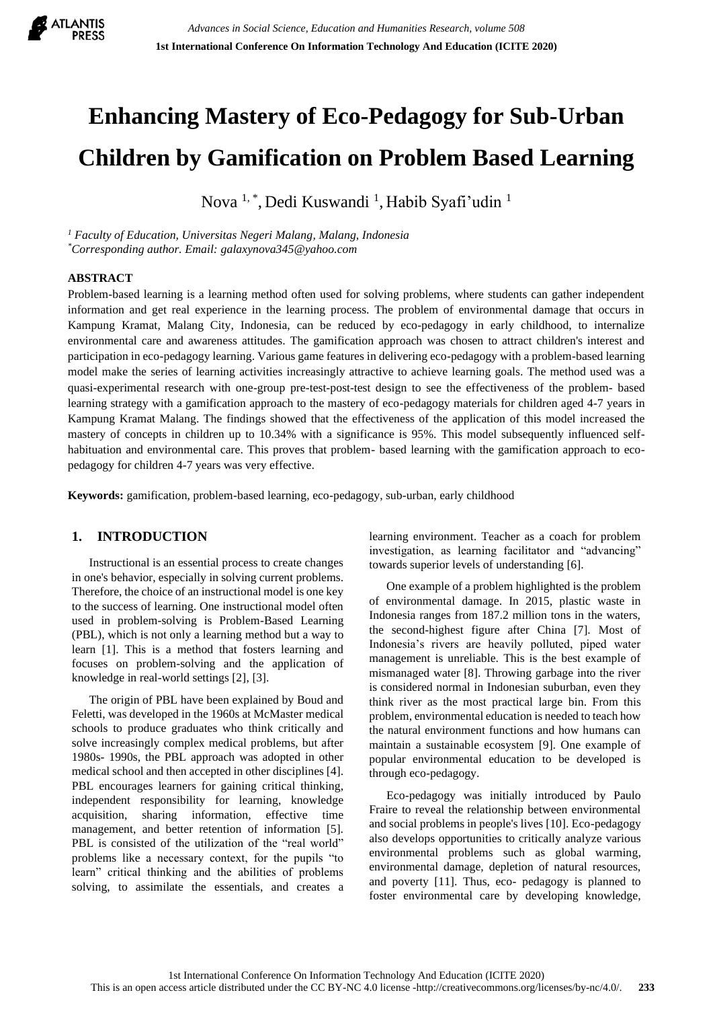

# **Enhancing Mastery of Eco-Pedagogy for Sub-Urban Children by Gamification on Problem Based Learning**

Nova <sup>1,</sup> \*, Dedi Kuswandi <sup>1</sup>, Habib Syafi'udin <sup>1</sup>

*<sup>1</sup> Faculty of Education, Universitas Negeri Malang, Malang, Indonesia \*Corresponding author. Email: galaxynova345@yahoo.com*

#### **ABSTRACT**

Problem-based learning is a learning method often used for solving problems, where students can gather independent information and get real experience in the learning process. The problem of environmental damage that occurs in Kampung Kramat, Malang City, Indonesia, can be reduced by eco-pedagogy in early childhood, to internalize environmental care and awareness attitudes. The gamification approach was chosen to attract children's interest and participation in eco-pedagogy learning. Various game features in delivering eco-pedagogy with a problem-based learning model make the series of learning activities increasingly attractive to achieve learning goals. The method used was a quasi-experimental research with one-group pre-test-post-test design to see the effectiveness of the problem- based learning strategy with a gamification approach to the mastery of eco-pedagogy materials for children aged 4-7 years in Kampung Kramat Malang. The findings showed that the effectiveness of the application of this model increased the mastery of concepts in children up to 10.34% with a significance is 95%. This model subsequently influenced selfhabituation and environmental care. This proves that problem- based learning with the gamification approach to ecopedagogy for children 4-7 years was very effective.

**Keywords:** gamification, problem-based learning, eco-pedagogy, sub-urban, early childhood

# **1. INTRODUCTION**

Instructional is an essential process to create changes in one's behavior, especially in solving current problems. Therefore, the choice of an instructional model is one key to the success of learning. One instructional model often used in problem-solving is Problem-Based Learning (PBL), which is not only a learning method but a way to learn [1]. This is a method that fosters learning and focuses on problem-solving and the application of knowledge in real-world settings [2], [3].

The origin of PBL have been explained by Boud and Feletti, was developed in the 1960s at McMaster medical schools to produce graduates who think critically and solve increasingly complex medical problems, but after 1980s- 1990s, the PBL approach was adopted in other medical school and then accepted in other disciplines [4]. PBL encourages learners for gaining critical thinking, independent responsibility for learning, knowledge acquisition, sharing information, effective time management, and better retention of information [5]. PBL is consisted of the utilization of the "real world" problems like a necessary context, for the pupils "to learn" critical thinking and the abilities of problems solving, to assimilate the essentials, and creates a learning environment. Teacher as a coach for problem investigation, as learning facilitator and "advancing" towards superior levels of understanding [6].

One example of a problem highlighted is the problem of environmental damage. In 2015, plastic waste in Indonesia ranges from 187.2 million tons in the waters, the second-highest figure after China [7]. Most of Indonesia's rivers are heavily polluted, piped water management is unreliable. This is the best example of mismanaged water [8]. Throwing garbage into the river is considered normal in Indonesian suburban, even they think river as the most practical large bin. From this problem, environmental education is needed to teach how the natural environment functions and how humans can maintain a sustainable ecosystem [9]. One example of popular environmental education to be developed is through eco-pedagogy.

Eco-pedagogy was initially introduced by Paulo Fraire to reveal the relationship between environmental and social problems in people's lives [10]. Eco-pedagogy also develops opportunities to critically analyze various environmental problems such as global warming, environmental damage, depletion of natural resources, and poverty [11]. Thus, eco- pedagogy is planned to foster environmental care by developing knowledge,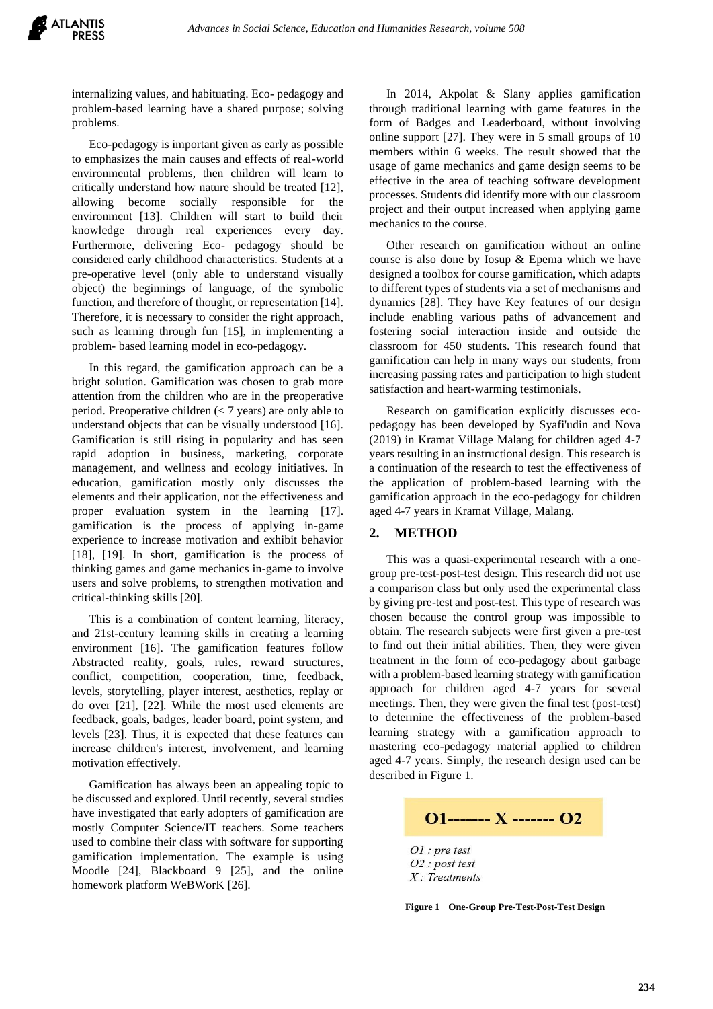internalizing values, and habituating. Eco- pedagogy and problem-based learning have a shared purpose; solving problems.

Eco-pedagogy is important given as early as possible to emphasizes the main causes and effects of real-world environmental problems, then children will learn to critically understand how nature should be treated [12], allowing become socially responsible for the environment [13]. Children will start to build their knowledge through real experiences every day. Furthermore, delivering Eco- pedagogy should be considered early childhood characteristics. Students at a pre-operative level (only able to understand visually object) the beginnings of language, of the symbolic function, and therefore of thought, or representation [14]. Therefore, it is necessary to consider the right approach, such as learning through fun [15], in implementing a problem- based learning model in eco-pedagogy.

In this regard, the gamification approach can be a bright solution. Gamification was chosen to grab more attention from the children who are in the preoperative period. Preoperative children (< 7 years) are only able to understand objects that can be visually understood [16]. Gamification is still rising in popularity and has seen rapid adoption in business, marketing, corporate management, and wellness and ecology initiatives. In education, gamification mostly only discusses the elements and their application, not the effectiveness and proper evaluation system in the learning [17]. gamification is the process of applying in-game experience to increase motivation and exhibit behavior [18], [19]. In short, gamification is the process of thinking games and game mechanics in-game to involve users and solve problems, to strengthen motivation and critical-thinking skills [20].

This is a combination of content learning, literacy, and 21st-century learning skills in creating a learning environment [16]. The gamification features follow Abstracted reality, goals, rules, reward structures, conflict, competition, cooperation, time, feedback, levels, storytelling, player interest, aesthetics, replay or do over [21], [22]. While the most used elements are feedback, goals, badges, leader board, point system, and levels [23]. Thus, it is expected that these features can increase children's interest, involvement, and learning motivation effectively.

Gamification has always been an appealing topic to be discussed and explored. Until recently, several studies have investigated that early adopters of gamification are mostly Computer Science/IT teachers. Some teachers used to combine their class with software for supporting gamification implementation. The example is using Moodle [24], Blackboard 9 [25], and the online homework platform WeBWorK [26].

In 2014, Akpolat & Slany applies gamification through traditional learning with game features in the form of Badges and Leaderboard, without involving online support [27]. They were in 5 small groups of 10 members within 6 weeks. The result showed that the usage of game mechanics and game design seems to be effective in the area of teaching software development processes. Students did identify more with our classroom project and their output increased when applying game mechanics to the course.

Other research on gamification without an online course is also done by Iosup & Epema which we have designed a toolbox for course gamification, which adapts to different types of students via a set of mechanisms and dynamics [28]. They have Key features of our design include enabling various paths of advancement and fostering social interaction inside and outside the classroom for 450 students. This research found that gamification can help in many ways our students, from increasing passing rates and participation to high student satisfaction and heart-warming testimonials.

Research on gamification explicitly discusses ecopedagogy has been developed by Syafi'udin and Nova (2019) in Kramat Village Malang for children aged 4-7 years resulting in an instructional design. This research is a continuation of the research to test the effectiveness of the application of problem-based learning with the gamification approach in the eco-pedagogy for children aged 4-7 years in Kramat Village, Malang.

## **2. METHOD**

This was a quasi-experimental research with a onegroup pre-test-post-test design. This research did not use a comparison class but only used the experimental class by giving pre-test and post-test. This type of research was chosen because the control group was impossible to obtain. The research subjects were first given a pre-test to find out their initial abilities. Then, they were given treatment in the form of eco-pedagogy about garbage with a problem-based learning strategy with gamification approach for children aged 4-7 years for several meetings. Then, they were given the final test (post-test) to determine the effectiveness of the problem-based learning strategy with a gamification approach to mastering eco-pedagogy material applied to children aged 4-7 years. Simply, the research design used can be described in Figure 1.

 $Q1$ ------- X -------  $Q2$ 

 $O1$ : pre test O2 : post test  $X$ : Treatments

**Figure 1 One-Group Pre-Test-Post-Test Design**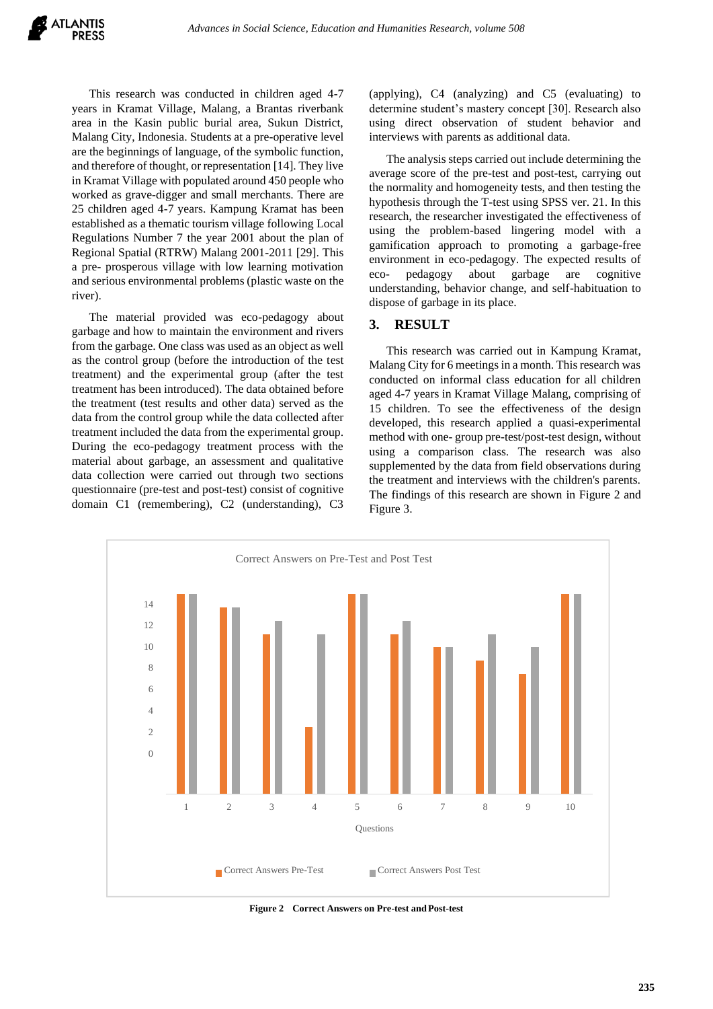This research was conducted in children aged 4-7 years in Kramat Village, Malang, a Brantas riverbank area in the Kasin public burial area, Sukun District, Malang City, Indonesia. Students at a pre-operative level are the beginnings of language, of the symbolic function, and therefore of thought, or representation [14]. They live in Kramat Village with populated around 450 people who worked as grave-digger and small merchants. There are 25 children aged 4-7 years. Kampung Kramat has been established as a thematic tourism village following Local Regulations Number 7 the year 2001 about the plan of Regional Spatial (RTRW) Malang 2001-2011 [29]. This a pre- prosperous village with low learning motivation and serious environmental problems (plastic waste on the river).

The material provided was eco-pedagogy about garbage and how to maintain the environment and rivers from the garbage. One class was used as an object as well as the control group (before the introduction of the test treatment) and the experimental group (after the test treatment has been introduced). The data obtained before the treatment (test results and other data) served as the data from the control group while the data collected after treatment included the data from the experimental group. During the eco-pedagogy treatment process with the material about garbage, an assessment and qualitative data collection were carried out through two sections questionnaire (pre-test and post-test) consist of cognitive domain C1 (remembering), C2 (understanding), C3 (applying), C4 (analyzing) and C5 (evaluating) to determine student's mastery concept [30]. Research also using direct observation of student behavior and interviews with parents as additional data.

The analysis steps carried out include determining the average score of the pre-test and post-test, carrying out the normality and homogeneity tests, and then testing the hypothesis through the T-test using SPSS ver. 21. In this research, the researcher investigated the effectiveness of using the problem-based lingering model with a gamification approach to promoting a garbage-free environment in eco-pedagogy. The expected results of eco- pedagogy about garbage are cognitive understanding, behavior change, and self-habituation to dispose of garbage in its place.

## **3. RESULT**

This research was carried out in Kampung Kramat, Malang City for 6 meetings in a month. This research was conducted on informal class education for all children aged 4-7 years in Kramat Village Malang, comprising of 15 children. To see the effectiveness of the design developed, this research applied a quasi-experimental method with one- group pre-test/post-test design, without using a comparison class. The research was also supplemented by the data from field observations during the treatment and interviews with the children's parents. The findings of this research are shown in Figure 2 and Figure 3.



**Figure 2 Correct Answers on Pre-test and Post-test**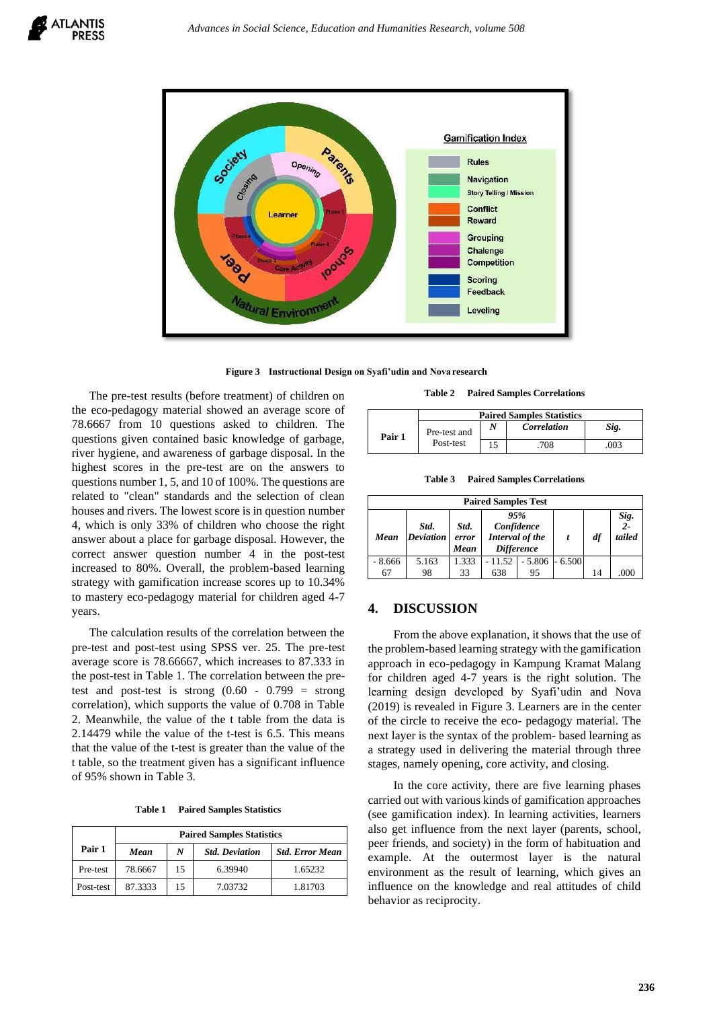

**Figure 3 Instructional Design on Syafi'udin and Nova research**

The pre-test results (before treatment) of children on the eco-pedagogy material showed an average score of 78.6667 from 10 questions asked to children. The questions given contained basic knowledge of garbage, river hygiene, and awareness of garbage disposal. In the highest scores in the pre-test are on the answers to questions number 1, 5, and 10 of 100%. The questions are related to "clean" standards and the selection of clean houses and rivers. The lowest score is in question number 4, which is only 33% of children who choose the right answer about a place for garbage disposal. However, the correct answer question number 4 in the post-test increased to 80%. Overall, the problem-based learning strategy with gamification increase scores up to 10.34% to mastery eco-pedagogy material for children aged 4-7 years.

The calculation results of the correlation between the pre-test and post-test using SPSS ver. 25. The pre-test average score is 78.66667, which increases to 87.333 in the post-test in Table 1. The correlation between the pretest and post-test is strong  $(0.60 - 0.799) =$  strong correlation), which supports the value of 0.708 in Table 2. Meanwhile, the value of the t table from the data is 2.14479 while the value of the t-test is 6.5. This means that the value of the t-test is greater than the value of the t table, so the treatment given has a significant influence of 95% shown in Table 3.

**Table 1 Paired Samples Statistics**

|           | <b>Paired Samples Statistics</b> |                  |                       |                        |  |  |  |
|-----------|----------------------------------|------------------|-----------------------|------------------------|--|--|--|
| Pair 1    | Mean                             | $\boldsymbol{N}$ | <b>Std. Deviation</b> | <b>Std. Error Mean</b> |  |  |  |
| Pre-test  | 78.6667                          | 15               | 6.39940               | 1.65232                |  |  |  |
| Post-test | 87.3333                          | 15               | 7.03732               | 1.81703                |  |  |  |

**Table 2 Paired Samples Correlations**

|        | <b>Paired Samples Statistics</b> |  |             |      |  |  |  |
|--------|----------------------------------|--|-------------|------|--|--|--|
| Pair 1 | Pre-test and                     |  | Correlation | Sig. |  |  |  |
|        | Post-test                        |  | 708         | 003  |  |  |  |

**Table 3 Paired Samples Correlations**

| <b>Paired Samples Test</b> |                          |                       |                                                           |          |          |    |                      |  |  |
|----------------------------|--------------------------|-----------------------|-----------------------------------------------------------|----------|----------|----|----------------------|--|--|
| Mean                       | Std.<br><b>Deviation</b> | Std.<br>error<br>Mean | 95%<br>Confidence<br>Interval of the<br><b>Difference</b> |          |          | df | Sig.<br>2-<br>tailed |  |  |
| $-8.666$                   | 5.163                    | 1.333                 | $-11.52$                                                  | $-5.806$ | $-6.500$ |    |                      |  |  |
| 67                         | 98                       | 33                    | 638                                                       | 95       |          | 14 | .000                 |  |  |

## **4. DISCUSSION**

From the above explanation, it shows that the use of the problem-based learning strategy with the gamification approach in eco-pedagogy in Kampung Kramat Malang for children aged 4-7 years is the right solution. The learning design developed by Syafi'udin and Nova (2019) is revealed in Figure 3. Learners are in the center of the circle to receive the eco- pedagogy material. The next layer is the syntax of the problem- based learning as a strategy used in delivering the material through three stages, namely opening, core activity, and closing.

In the core activity, there are five learning phases carried out with various kinds of gamification approaches (see gamification index). In learning activities, learners also get influence from the next layer (parents, school, peer friends, and society) in the form of habituation and example. At the outermost layer is the natural environment as the result of learning, which gives an influence on the knowledge and real attitudes of child behavior as reciprocity.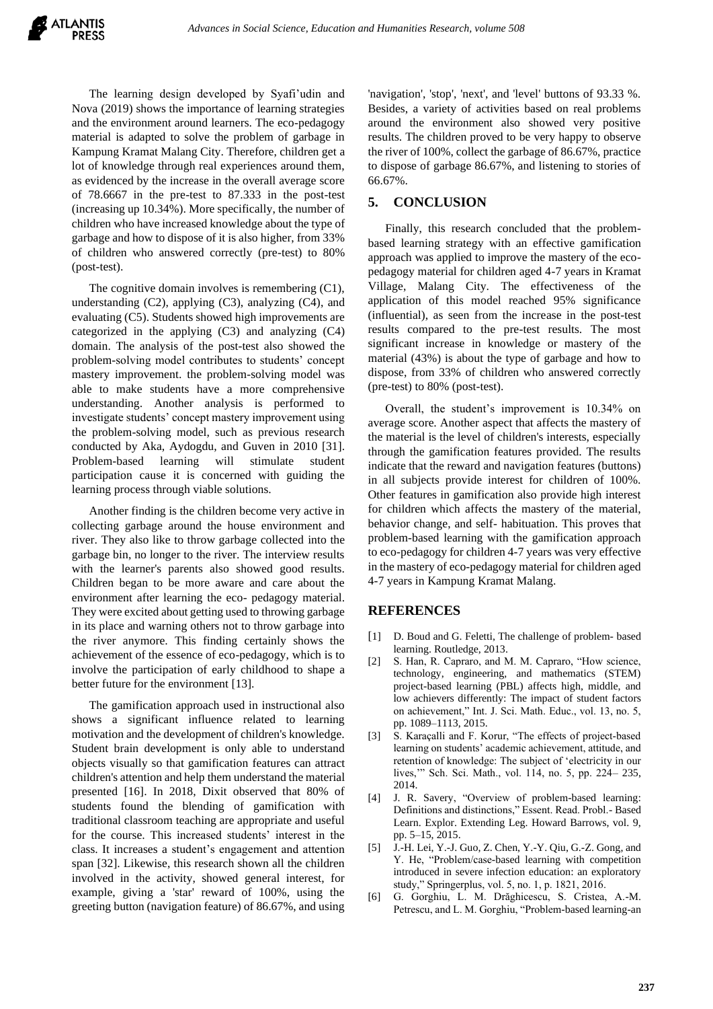The learning design developed by Syafi'udin and Nova (2019) shows the importance of learning strategies and the environment around learners. The eco-pedagogy material is adapted to solve the problem of garbage in Kampung Kramat Malang City. Therefore, children get a lot of knowledge through real experiences around them, as evidenced by the increase in the overall average score of 78.6667 in the pre-test to 87.333 in the post-test (increasing up 10.34%). More specifically, the number of children who have increased knowledge about the type of garbage and how to dispose of it is also higher, from 33% of children who answered correctly (pre-test) to 80% (post-test).

The cognitive domain involves is remembering (C1), understanding  $(C2)$ , applying  $(C3)$ , analyzing  $(C4)$ , and evaluating (C5). Students showed high improvements are categorized in the applying (C3) and analyzing (C4) domain. The analysis of the post-test also showed the problem-solving model contributes to students' concept mastery improvement. the problem-solving model was able to make students have a more comprehensive understanding. Another analysis is performed to investigate students' concept mastery improvement using the problem-solving model, such as previous research conducted by Aka, Aydogdu, and Guven in 2010 [31]. Problem-based learning will stimulate student participation cause it is concerned with guiding the learning process through viable solutions.

Another finding is the children become very active in collecting garbage around the house environment and river. They also like to throw garbage collected into the garbage bin, no longer to the river. The interview results with the learner's parents also showed good results. Children began to be more aware and care about the environment after learning the eco- pedagogy material. They were excited about getting used to throwing garbage in its place and warning others not to throw garbage into the river anymore. This finding certainly shows the achievement of the essence of eco-pedagogy, which is to involve the participation of early childhood to shape a better future for the environment [13].

The gamification approach used in instructional also shows a significant influence related to learning motivation and the development of children's knowledge. Student brain development is only able to understand objects visually so that gamification features can attract children's attention and help them understand the material presented [16]. In 2018, Dixit observed that 80% of students found the blending of gamification with traditional classroom teaching are appropriate and useful for the course. This increased students' interest in the class. It increases a student's engagement and attention span [32]. Likewise, this research shown all the children involved in the activity, showed general interest, for example, giving a 'star' reward of 100%, using the greeting button (navigation feature) of 86.67%, and using

'navigation', 'stop', 'next', and 'level' buttons of 93.33 %. Besides, a variety of activities based on real problems around the environment also showed very positive results. The children proved to be very happy to observe the river of 100%, collect the garbage of 86.67%, practice to dispose of garbage 86.67%, and listening to stories of 66.67%.

## **5. CONCLUSION**

Finally, this research concluded that the problembased learning strategy with an effective gamification approach was applied to improve the mastery of the ecopedagogy material for children aged 4-7 years in Kramat Village, Malang City. The effectiveness of the application of this model reached 95% significance (influential), as seen from the increase in the post-test results compared to the pre-test results. The most significant increase in knowledge or mastery of the material (43%) is about the type of garbage and how to dispose, from 33% of children who answered correctly (pre-test) to 80% (post-test).

Overall, the student's improvement is 10.34% on average score. Another aspect that affects the mastery of the material is the level of children's interests, especially through the gamification features provided. The results indicate that the reward and navigation features (buttons) in all subjects provide interest for children of 100%. Other features in gamification also provide high interest for children which affects the mastery of the material, behavior change, and self- habituation. This proves that problem-based learning with the gamification approach to eco-pedagogy for children 4-7 years was very effective in the mastery of eco-pedagogy material for children aged 4-7 years in Kampung Kramat Malang.

# **REFERENCES**

- [1] D. Boud and G. Feletti, The challenge of problem- based learning. Routledge, 2013.
- [2] S. Han, R. Capraro, and M. M. Capraro, "How science, technology, engineering, and mathematics (STEM) project-based learning (PBL) affects high, middle, and low achievers differently: The impact of student factors on achievement," Int. J. Sci. Math. Educ., vol. 13, no. 5, pp. 1089–1113, 2015.
- [3] S. Karaçalli and F. Korur, "The effects of project-based learning on students' academic achievement, attitude, and retention of knowledge: The subject of 'electricity in our lives,'" Sch. Sci. Math., vol. 114, no. 5, pp. 224– 235, 2014.
- [4] J. R. Savery, "Overview of problem-based learning: Definitions and distinctions," Essent. Read. Probl.- Based Learn. Explor. Extending Leg. Howard Barrows, vol. 9, pp. 5–15, 2015.
- [5] J.-H. Lei, Y.-J. Guo, Z. Chen, Y.-Y. Qiu, G.-Z. Gong, and Y. He, "Problem/case-based learning with competition introduced in severe infection education: an exploratory study," Springerplus, vol. 5, no. 1, p. 1821, 2016.
- [6] G. Gorghiu, L. M. Drăghicescu, S. Cristea, A.-M. Petrescu, and L. M. Gorghiu, "Problem-based learning-an